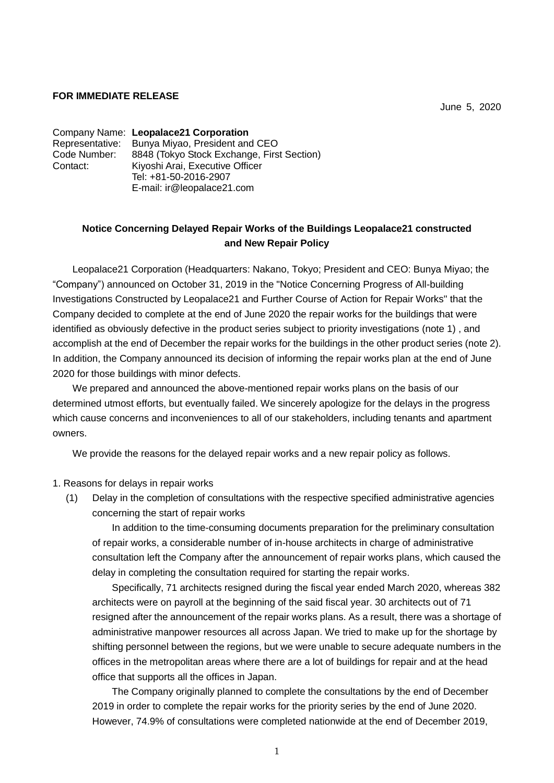## **FOR IMMEDIATE RELEASE**

June 5, 2020

Company Name: **Leopalace21 Corporation** Representative: Bunya Miyao, President and CEO Code Number: 8848 (Tokyo Stock Exchange, First Section) Contact: Kiyoshi Arai, Executive Officer Tel: +81-50-2016-2907 E-mail: ir@leopalace21.com

## **Notice Concerning Delayed Repair Works of the Buildings Leopalace21 constructed and New Repair Policy**

Leopalace21 Corporation (Headquarters: Nakano, Tokyo; President and CEO: Bunya Miyao; the "Company") announced on October 31, 2019 in the "Notice Concerning Progress of All-building Investigations Constructed by Leopalace21 and Further Course of Action for Repair Works" that the Company decided to complete at the end of June 2020 the repair works for the buildings that were identified as obviously defective in the product series subject to priority investigations (note 1) , and accomplish at the end of December the repair works for the buildings in the other product series (note 2). In addition, the Company announced its decision of informing the repair works plan at the end of June 2020 for those buildings with minor defects.

We prepared and announced the above-mentioned repair works plans on the basis of our determined utmost efforts, but eventually failed. We sincerely apologize for the delays in the progress which cause concerns and inconveniences to all of our stakeholders, including tenants and apartment owners.

We provide the reasons for the delayed repair works and a new repair policy as follows.

1. Reasons for delays in repair works

(1) Delay in the completion of consultations with the respective specified administrative agencies concerning the start of repair works

In addition to the time-consuming documents preparation for the preliminary consultation of repair works, a considerable number of in-house architects in charge of administrative consultation left the Company after the announcement of repair works plans, which caused the delay in completing the consultation required for starting the repair works.

Specifically, 71 architects resigned during the fiscal year ended March 2020, whereas 382 architects were on payroll at the beginning of the said fiscal year. 30 architects out of 71 resigned after the announcement of the repair works plans. As a result, there was a shortage of administrative manpower resources all across Japan. We tried to make up for the shortage by shifting personnel between the regions, but we were unable to secure adequate numbers in the offices in the metropolitan areas where there are a lot of buildings for repair and at the head office that supports all the offices in Japan.

The Company originally planned to complete the consultations by the end of December 2019 in order to complete the repair works for the priority series by the end of June 2020. However, 74.9% of consultations were completed nationwide at the end of December 2019,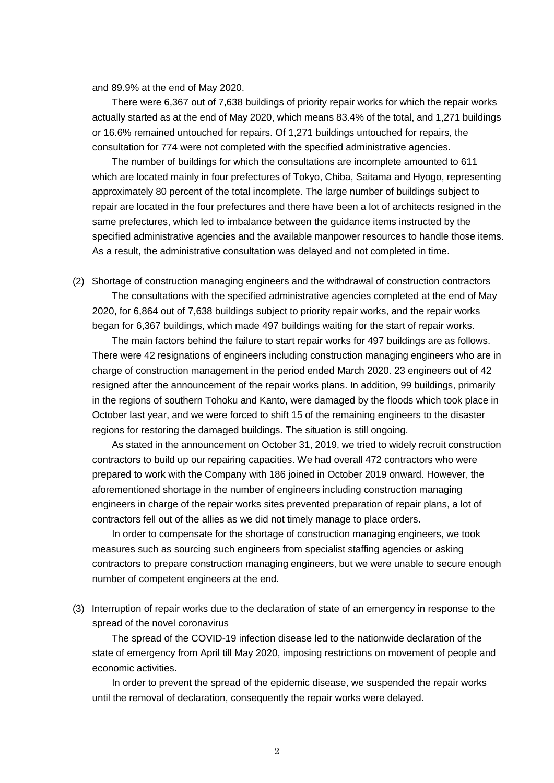and 89.9% at the end of May 2020.

There were 6,367 out of 7,638 buildings of priority repair works for which the repair works actually started as at the end of May 2020, which means 83.4% of the total, and 1,271 buildings or 16.6% remained untouched for repairs. Of 1,271 buildings untouched for repairs, the consultation for 774 were not completed with the specified administrative agencies.

The number of buildings for which the consultations are incomplete amounted to 611 which are located mainly in four prefectures of Tokyo, Chiba, Saitama and Hyogo, representing approximately 80 percent of the total incomplete. The large number of buildings subject to repair are located in the four prefectures and there have been a lot of architects resigned in the same prefectures, which led to imbalance between the guidance items instructed by the specified administrative agencies and the available manpower resources to handle those items. As a result, the administrative consultation was delayed and not completed in time.

(2) Shortage of construction managing engineers and the withdrawal of construction contractors The consultations with the specified administrative agencies completed at the end of May 2020, for 6,864 out of 7,638 buildings subject to priority repair works, and the repair works began for 6,367 buildings, which made 497 buildings waiting for the start of repair works.

The main factors behind the failure to start repair works for 497 buildings are as follows. There were 42 resignations of engineers including construction managing engineers who are in charge of construction management in the period ended March 2020. 23 engineers out of 42 resigned after the announcement of the repair works plans. In addition, 99 buildings, primarily in the regions of southern Tohoku and Kanto, were damaged by the floods which took place in October last year, and we were forced to shift 15 of the remaining engineers to the disaster regions for restoring the damaged buildings. The situation is still ongoing.

As stated in the announcement on October 31, 2019, we tried to widely recruit construction contractors to build up our repairing capacities. We had overall 472 contractors who were prepared to work with the Company with 186 joined in October 2019 onward. However, the aforementioned shortage in the number of engineers including construction managing engineers in charge of the repair works sites prevented preparation of repair plans, a lot of contractors fell out of the allies as we did not timely manage to place orders.

In order to compensate for the shortage of construction managing engineers, we took measures such as sourcing such engineers from specialist staffing agencies or asking contractors to prepare construction managing engineers, but we were unable to secure enough number of competent engineers at the end.

(3) Interruption of repair works due to the declaration of state of an emergency in response to the spread of the novel coronavirus

The spread of the COVID-19 infection disease led to the nationwide declaration of the state of emergency from April till May 2020, imposing restrictions on movement of people and economic activities.

In order to prevent the spread of the epidemic disease, we suspended the repair works until the removal of declaration, consequently the repair works were delayed.